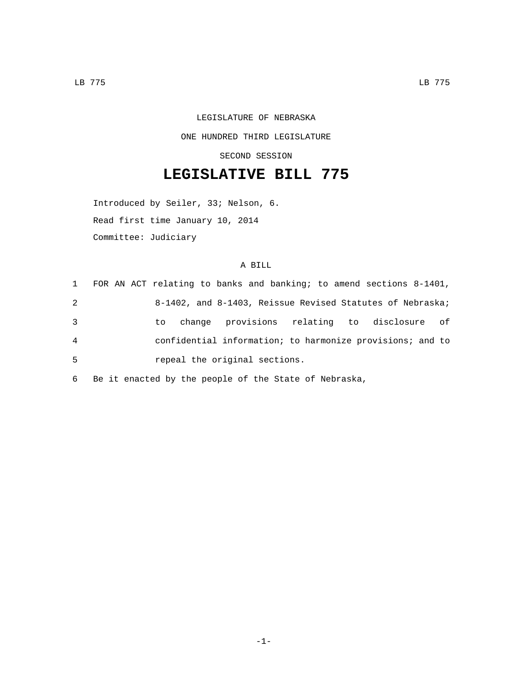## LEGISLATURE OF NEBRASKA ONE HUNDRED THIRD LEGISLATURE SECOND SESSION

## **LEGISLATIVE BILL 775**

Introduced by Seiler, 33; Nelson, 6. Read first time January 10, 2014 Committee: Judiciary

## A BILL

| 1 | FOR AN ACT relating to banks and banking; to amend sections 8-1401, |
|---|---------------------------------------------------------------------|
| 2 | 8-1402, and 8-1403, Reissue Revised Statutes of Nebraska;           |
| 3 | change provisions relating to disclosure of<br>to                   |
| 4 | confidential information; to harmonize provisions; and to           |
| 5 | repeal the original sections.                                       |

6 Be it enacted by the people of the State of Nebraska,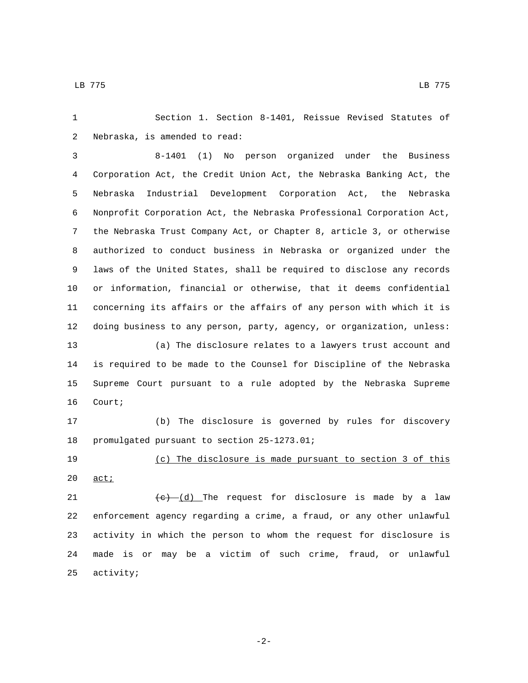Section 1. Section 8-1401, Reissue Revised Statutes of 2 Nebraska, is amended to read:

 8-1401 (1) No person organized under the Business Corporation Act, the Credit Union Act, the Nebraska Banking Act, the Nebraska Industrial Development Corporation Act, the Nebraska Nonprofit Corporation Act, the Nebraska Professional Corporation Act, the Nebraska Trust Company Act, or Chapter 8, article 3, or otherwise authorized to conduct business in Nebraska or organized under the laws of the United States, shall be required to disclose any records or information, financial or otherwise, that it deems confidential concerning its affairs or the affairs of any person with which it is doing business to any person, party, agency, or organization, unless: (a) The disclosure relates to a lawyers trust account and is required to be made to the Counsel for Discipline of the Nebraska

 Supreme Court pursuant to a rule adopted by the Nebraska Supreme 16 Court;

 (b) The disclosure is governed by rules for discovery 18 promulgated pursuant to section 25-1273.01;

 (c) The disclosure is made pursuant to section 3 of this  $20 \quad \underline{\text{act}}$ ;

 $\left(\frac{e}{c}\right)$  (d) The request for disclosure is made by a law enforcement agency regarding a crime, a fraud, or any other unlawful activity in which the person to whom the request for disclosure is made is or may be a victim of such crime, fraud, or unlawful 25 activity;

-2-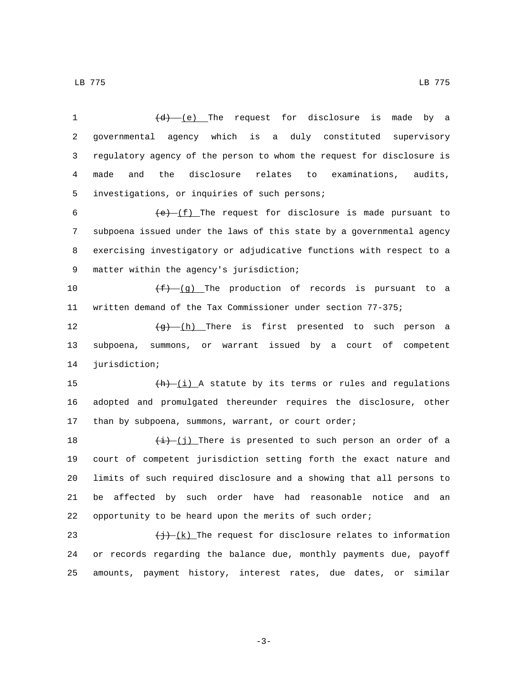LB 775 LB 775

| 1                       | $(d)$ (e) The request for disclosure is<br>made by a                          |
|-------------------------|-------------------------------------------------------------------------------|
| $\overline{\mathbf{c}}$ | governmental agency which<br>is<br>a duly constituted supervisory             |
| 3                       | regulatory agency of the person to whom the request for disclosure is         |
| 4                       | and<br>the<br>disclosure<br>relates<br>examinations,<br>made<br>to<br>audits, |
| 5                       | investigations, or inquiries of such persons;                                 |
| 6                       | $(e)$ (f) The request for disclosure is made pursuant to                      |
| 7                       | subpoena issued under the laws of this state by a governmental agency         |
| 8                       | exercising investigatory or adjudicative functions with respect to a          |
| 9                       | matter within the agency's jurisdiction;                                      |
| 10                      | $(f)$ (g) The production of records is pursuant to a                          |
| 11                      | written demand of the Tax Commissioner under section 77-375;                  |
| 12                      | $\overline{a}$ (h) There is first presented to such person a                  |
| 13                      | subpoena, summons, or warrant issued by a court of<br>competent               |
| 14                      | jurisdiction;                                                                 |
| 15                      | $\frac{h}{h}$ (i) A statute by its terms or rules and regulations             |
| 16                      | adopted and promulgated thereunder requires the disclosure, other             |
| 17                      | than by subpoena, summons, warrant, or court order;                           |
| 18                      | $\frac{1}{i}$ (j) There is presented to such person an order of a             |
| 19                      | court of competent jurisdiction setting forth the exact nature and            |
| 20                      | limits of such required disclosure and a showing that all persons to          |
| 21                      | be affected by such order have had reasonable notice and<br>an                |
| 22                      | opportunity to be heard upon the merits of such order;                        |
| 23                      | $\overline{(+)}$ (k) The request for disclosure relates to information        |
| 24                      | or records regarding the balance due, monthly payments due, payoff            |

-3-

amounts, payment history, interest rates, due dates, or similar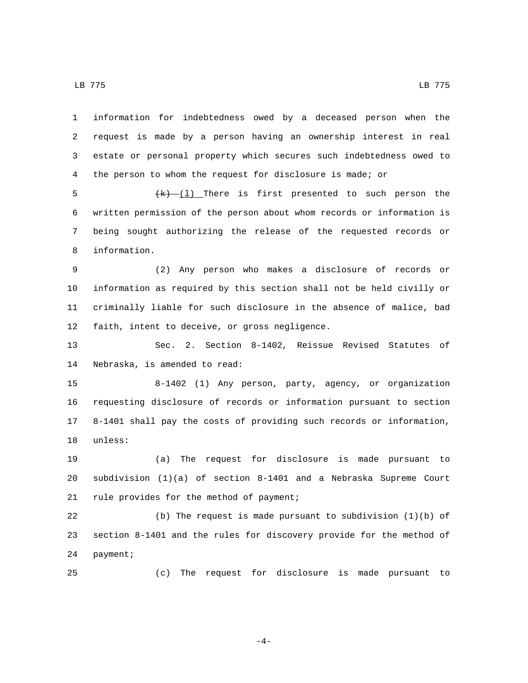LB 775 LB 775

 information for indebtedness owed by a deceased person when the request is made by a person having an ownership interest in real estate or personal property which secures such indebtedness owed to the person to whom the request for disclosure is made; or

 $\frac{(k)-(1)}{k}$  There is first presented to such person the written permission of the person about whom records or information is being sought authorizing the release of the requested records or 8 information.

 (2) Any person who makes a disclosure of records or information as required by this section shall not be held civilly or criminally liable for such disclosure in the absence of malice, bad 12 faith, intent to deceive, or gross negligence.

 Sec. 2. Section 8-1402, Reissue Revised Statutes of 14 Nebraska, is amended to read:

 8-1402 (1) Any person, party, agency, or organization requesting disclosure of records or information pursuant to section 8-1401 shall pay the costs of providing such records or information, 18 unless:

 (a) The request for disclosure is made pursuant to subdivision (1)(a) of section 8-1401 and a Nebraska Supreme Court 21 rule provides for the method of payment;

 (b) The request is made pursuant to subdivision (1)(b) of section 8-1401 and the rules for discovery provide for the method of 24 payment;

(c) The request for disclosure is made pursuant to

-4-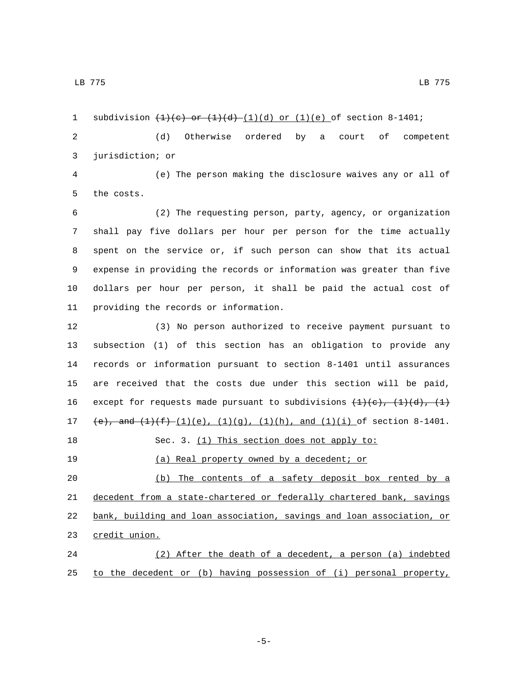1 subdivision  $\left(\frac{1}{e}\right)$  or  $\left(\frac{1}{d}\right)$  (d) or  $(1)(e)$  of section 8-1401; (d) Otherwise ordered by a court of competent 3 jurisdiction; or (e) The person making the disclosure waives any or all of 5 the costs. (2) The requesting person, party, agency, or organization shall pay five dollars per hour per person for the time actually spent on the service or, if such person can show that its actual expense in providing the records or information was greater than five dollars per hour per person, it shall be paid the actual cost of 11 providing the records or information. (3) No person authorized to receive payment pursuant to subsection (1) of this section has an obligation to provide any records or information pursuant to section 8-1401 until assurances are received that the costs due under this section will be paid, 16 except for requests made pursuant to subdivisions  $\{1\}(c), \{1\}(d), \{1\}$ 17 (e), and  $(1)(f)$   $(1)(e)$ ,  $(1)(g)$ ,  $(1)(h)$ , and  $(1)(i)$  of section 8-1401. 18 Sec. 3. (1) This section does not apply to: (a) Real property owned by a decedent; or (b) The contents of a safety deposit box rented by a decedent from a state-chartered or federally chartered bank, savings bank, building and loan association, savings and loan association, or 23 credit union.

 (2) After the death of a decedent, a person (a) indebted to the decedent or (b) having possession of (i) personal property,

LB 775 LB 775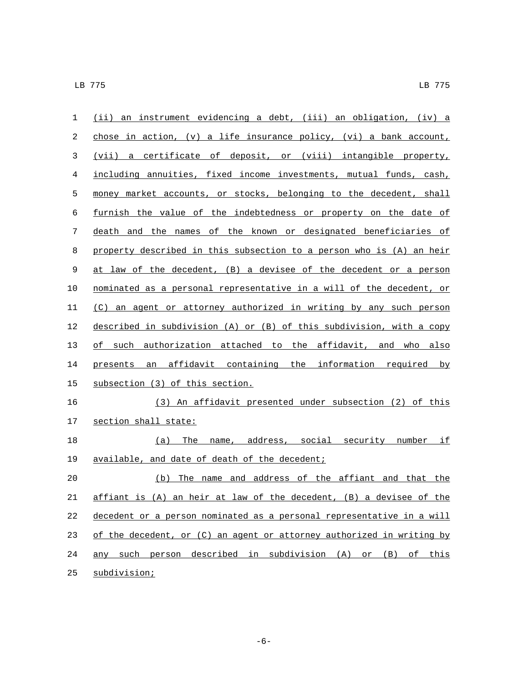| 1           | (ii) an instrument evidencing a debt, (iii) an obligation, (iv) a      |
|-------------|------------------------------------------------------------------------|
| 2           | chose in action, $(v)$ a life insurance policy, $(vi)$ a bank account, |
| 3           | (vii) a certificate of deposit, or (viii) intangible property,         |
| 4           | including annuities, fixed income investments, mutual funds, cash,     |
| 5           | money market accounts, or stocks, belonging to the decedent, shall     |
| 6           | furnish the value of the indebtedness or property on the date of       |
| 7           | death and the names of the known or designated beneficiaries of        |
| 8           | property described in this subsection to a person who is (A) an heir   |
| $\mathsf 9$ | at law of the decedent, (B) a devisee of the decedent or a person      |
| 10          | nominated as a personal representative in a will of the decedent, or   |
| 11          | (C) an agent or attorney authorized in writing by any such person      |
| 12          | described in subdivision (A) or (B) of this subdivision, with a copy   |
| 13          | of such authorization attached to the affidavit, and who also          |
| 14          | presents an affidavit containing the information required by           |
| 15          | subsection (3) of this section.                                        |
| 16          | (3) An affidavit presented under subsection (2) of this                |
| 17          | section shall state:                                                   |
| 18          | The name, address, social security number if<br>(a)                    |
| 19          | available, and date of death of the decedent;                          |
| 20          | The name and address of the affiant and that the<br>(b)                |
| 21          | affiant is (A) an heir at law of the decedent, (B) a devisee of the    |
| 22          | decedent or a person nominated as a personal representative in a will  |
| 23          | of the decedent, or (C) an agent or attorney authorized in writing by  |
| 24          | any such person described in subdivision (A) or (B) of this            |
| 25          | subdivision;                                                           |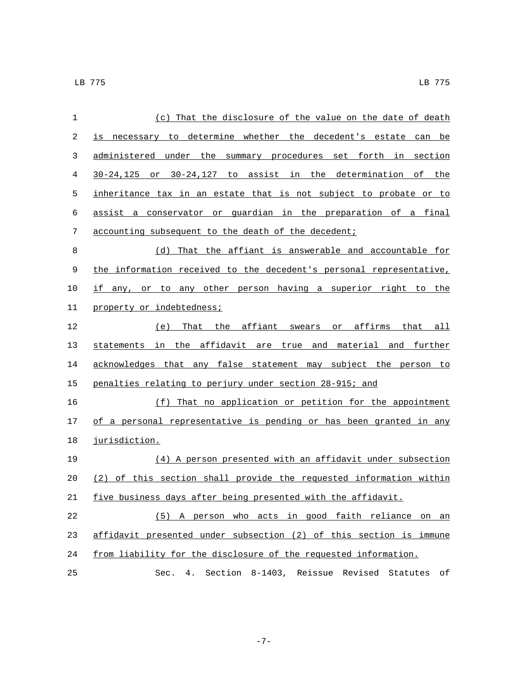|    | (c) That the disclosure of the value on the date of death                       |
|----|---------------------------------------------------------------------------------|
| 2  | to determine whether the decedent's estate<br>is<br>can be<br>necessary         |
| 3  | administered<br>under<br>the summary procedures set forth<br>section<br>in      |
| 4  | or 30-24,127 to assist in the determination of the<br>30-24,125                 |
| 5  | inheritance tax in an estate that is not subject to probate or to               |
| 6  | a conservator or guardian in the preparation of a final<br>assist               |
| 7  | accounting subsequent to the death of the decedent;                             |
| 8  | That the affiant is answerable and accountable for<br>(d)                       |
| 9  | the information received to the decedent's personal representative,             |
| 10 | other person having a superior right<br>if<br>the<br>to<br>to any<br>any,<br>or |

11 property or indebtedness;

 (e) That the affiant swears or affirms that all statements in the affidavit are true and material and further 14 acknowledges that any false statement may subject the person to penalties relating to perjury under section 28-915; and

 (f) That no application or petition for the appointment of a personal representative is pending or has been granted in any 18 jurisdiction.

 (4) A person presented with an affidavit under subsection (2) of this section shall provide the requested information within five business days after being presented with the affidavit.

 (5) A person who acts in good faith reliance on an affidavit presented under subsection (2) of this section is immune from liability for the disclosure of the requested information.

Sec. 4. Section 8-1403, Reissue Revised Statutes of

-7-